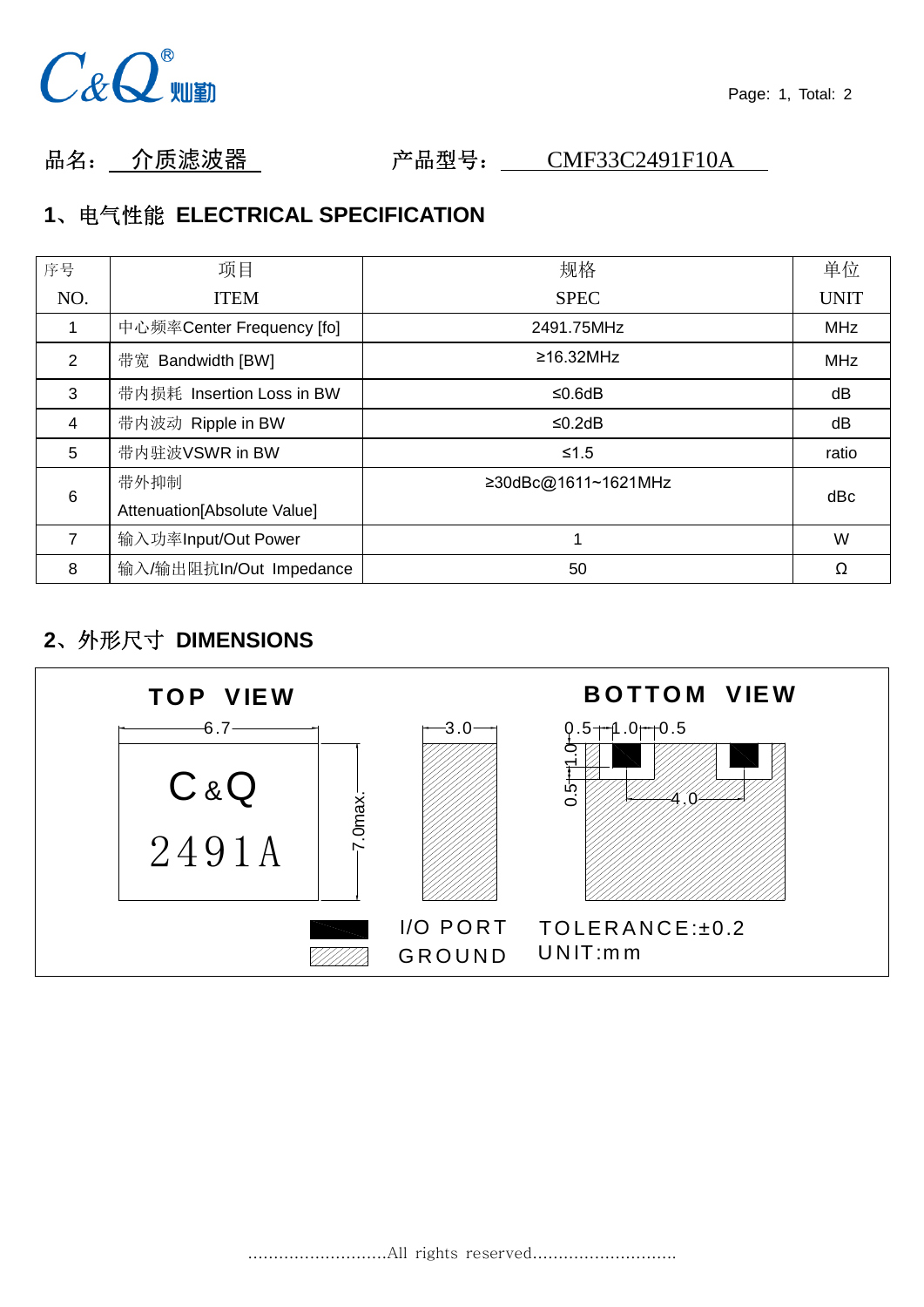

品名: 介质滤波器 产品型号: CMF33C2491F10A

# **1**、电气性能 **ELECTRICAL SPECIFICATION**

| 序号             | 项目                          | 规格                  | 单位          |
|----------------|-----------------------------|---------------------|-------------|
| NO.            | <b>ITEM</b>                 | <b>SPEC</b>         | <b>UNIT</b> |
|                | 中心频率Center Frequency [fo]   | 2491.75MHz          | <b>MHz</b>  |
| $\overline{2}$ | 带宽 Bandwidth [BW]           | $\geq$ 16.32MHz     | <b>MHz</b>  |
| 3              | 带内损耗 Insertion Loss in BW   | ≤0.6dB              | dB          |
| 4              | 带内波动 Ripple in BW           | ≤0.2dB              | dB          |
| 5              | 带内驻波VSWR in BW              | $≤1.5$              | ratio       |
| 6              | 带外抑制                        | ≥30dBc@1611~1621MHz | dBc         |
|                | Attenuation[Absolute Value] |                     |             |
| 7              | 输入功率Input/Out Power         |                     | W           |
| 8              | 输入/输出阻抗In/Out Impedance     | 50                  | Ω           |

# **2**、外形尺寸 **DIMENSIONS**